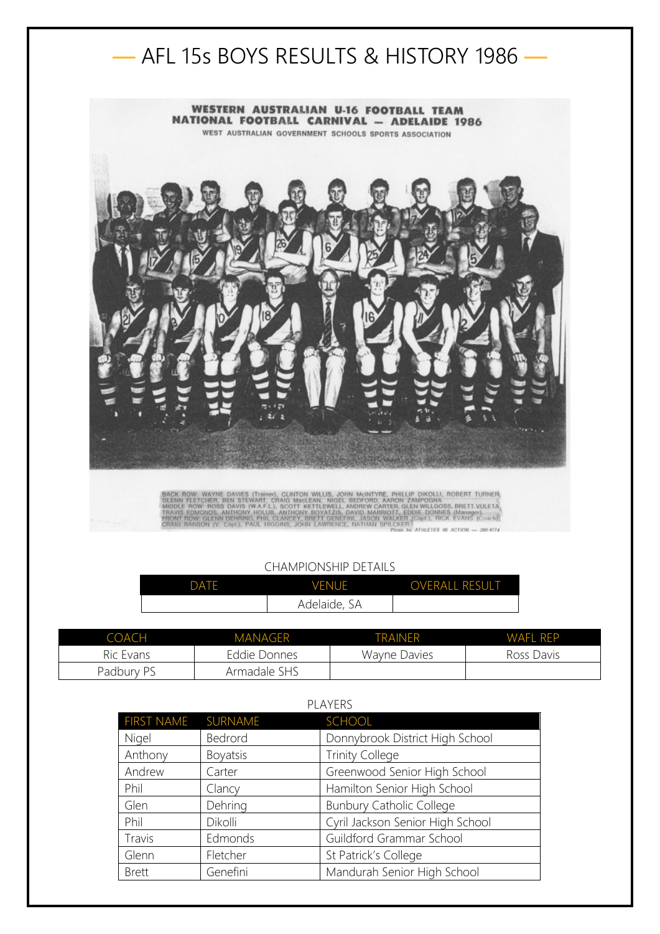

## CHAMPIONSHIP DETAILS

| DATF | <b>VENUE</b> | <b>OVERALL RESULT</b> |
|------|--------------|-----------------------|
|      | Adelaide, SA |                       |

| COACH      | <b>MANAGER</b> | <b>TRAINFR</b> | WAFI RFP   |
|------------|----------------|----------------|------------|
| Ric Evans  | Eddie Donnes   | Wayne Davies   | Ross Davis |
| Padbury PS | Armadale SHS   |                |            |

| FIRST NAME SURNAME |                 | <b>SCHOOL</b>                    |
|--------------------|-----------------|----------------------------------|
| Nigel              | Bedrord         | Donnybrook District High School  |
| Anthony            | <b>Boyatsis</b> | <b>Trinity College</b>           |
| Andrew             | Carter          | Greenwood Senior High School     |
| Phil               | Clancy          | Hamilton Senior High School      |
| Glen               | Dehring         | <b>Bunbury Catholic College</b>  |
| Phil               | Dikolli         | Cyril Jackson Senior High School |
| Travis             | Edmonds         | Guildford Grammar School         |
| Glenn              | Fletcher        | St Patrick's College             |
| <b>Brett</b>       | Genefini        | Mandurah Senior High School      |

## PLAYERS